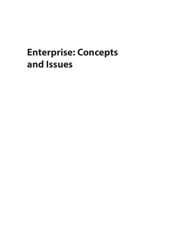## <span id="page-0-0"></span>**Enterprise: Concepts and Issues**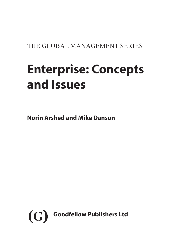THE GLOBAL MANAGEMENT SERIES

# **Enterprise: Concepts and Issues**

**Norin Arshed and Mike Danson**

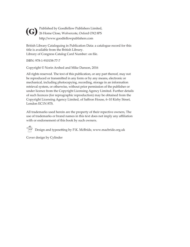Published by Goodfellow Publishers Limited, **(G)** Published by Goodfellow Publishers Limited<br>26 Home Close, Wolvercote, Oxford OX2 8PS http://www.goodfellowpublishers.com

British Library Cataloguing in Publication Data: a catalogue record for this title is available from the British Library. Library of Congress Catalog Card Number: on file.

ISBN: 978-1-910158-77-7

Copyright © Norin Arshed and Mike Danson, 2016

All rights reserved. The text of this publication, or any part thereof, may not be reproduced or transmitted in any form or by any means, electronic or mechanical, including photocopying, recording, storage in an information retrieval system, or otherwise, without prior permission of the publisher or under licence from the Copyright Licensing Agency Limited. Further details of such licences (for reprographic reproduction) may be obtained from the Copyright Licensing Agency Limited, of Saffron House, 6–10 Kirby Street, London EC1N 8TS.

All trademarks used herein are the property of their repective owners, The use of trademarks or brand names in this text does not imply any affiliation with or endorsement of this book by such owners.

 $\bigcirc$  Design and typesetting by P.K. McBride, www.macbride.org.uk

Cover design by Cylinder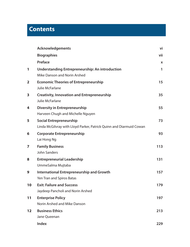## **Contents**

|                   | <b>Acknowledgements</b>                                                                               | vi  |
|-------------------|-------------------------------------------------------------------------------------------------------|-----|
|                   | <b>Biographies</b>                                                                                    | vii |
|                   | Preface                                                                                               | X   |
| 1                 | <b>Understanding Entrepreneurship: An introduction</b><br>Mike Danson and Norin Arshed                | 1   |
| $\overline{2}$    | <b>Economic Theories of Entrepreneurship</b><br>Julie McFarlane                                       | 15  |
| 3                 | <b>Creativity, Innovation and Entrepreneurship</b><br>Julie McFarlane                                 | 35  |
| 4                 | <b>Diversity in Entrepreneurship</b><br>Harveen Chugh and Michelle Nguyen                             | 55  |
| 5                 | <b>Social Entrepreneurship</b><br>Linda McGilvray with Lloyd Parker, Patrick Quinn and Diarmuid Cowan | 73  |
| 6                 | <b>Corporate Entrepreneurship</b><br>Lai Hong Ng                                                      | 93  |
| $\overline{7}$    | <b>Family Business</b><br><b>John Sanders</b>                                                         | 113 |
| 8                 | <b>Entrepreneurial Leadership</b><br>UmmeSalma Mujtaba                                                | 131 |
| 9                 | <b>International Entrepreneurship and Growth</b><br>Yen Tran and Spiros Batas                         | 157 |
| 10                | <b>Exit: Failure and Success</b><br>Jaydeep Pancholi and Norin Arshed                                 | 179 |
| 11                | <b>Enterprise Policy</b><br>Norin Arshed and Mike Danson                                              | 197 |
| $12 \overline{ }$ | <b>Business Ethics</b><br>Jane Queenan                                                                | 213 |
|                   | Index                                                                                                 | 229 |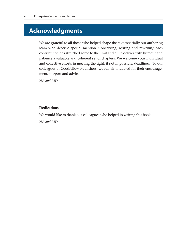## **Acknowledgments**

We are grateful to all those who helped shape the text especially our authoring team who deserve special mention. Conceiving, writing and rewriting each contribution has stretched some to the limit and all to deliver with humour and patience a valuable and coherent set of chapters. We welcome your individual and collective efforts in meeting the tight, if not impossible, deadlines. To our colleagues at Goodfellow Publishers, we remain indebted for their encouragement, support and advice.

*NA and MD* 

#### **Dedications**

We would like to thank our colleagues who helped in writing this book.

*NA and MD*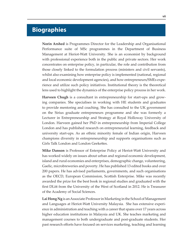## **Biographies**

**Norin Arshed** is Programmes Director for the Leadership and Organisational Performance suite of MSc programmes in the Department of Business Management at Heriot-Watt University. She is an economist by background with professional experience both in the public and private sectors. Her work concentrates on enterprise policy, in particular, the role and contribution from those closely linked to the formulation process (ministers and civil servants), whilst also examining how enterprise policy is implemented (national, regional and local economic development agencies), and how entrepreneurs/SMEs experience and utilize such policy initiatives. Institutional theory is the theoretical lens used to highlight the dynamics of the enterprise policy process in her work.

**Harveen Chugh** is a consultant in entrepreneurship for start-ups and growing companies. She specialises in working with HE students and graduates to provide mentoring and coaching. She has consulted to the UK government on the Sirius graduate entrepreneurs programme and she was formerly a Lecturer in Entrepreneurship and Strategy at Royal Holloway University of London. Harveen gained her PhD in entrepreneurship from Imperial College London and has published research on entrepreneurial learning, feedback and university start-ups. As an ethnic minority female of Indian origin, Harveen champions diversity in entrepreneurship and supports organisations such as Girls Talk London and London Geekettes.

**Mike Danson** is Professor of Enterprise Policy at Heriot-Watt University and has worked widely on issues about urban and regional economic development, island and rural economies and enterprises, demographic change, volunteering, Gaelic, microbreweries and poverty. He has published 13 edited books and over 200 papers. He has advised parliaments, governments, and such organisations as the OECD, European Commission, Scottish Enterprise. Mike was recently awarded the prize for the best book in regional studies and graduated with the first DLitt from the University of the West of Scotland in 2012. He is Treasurer of the Academy of Social Sciences.

**Lai Hong Ng** is an Associate Professor in Marketing in the School of Management and Languages at Heriot-Watt University Malaysia. She has extensive experience in administration and teaching with a career that spans over 17 years across higher education institutions in Malaysia and UK. She teaches marketing and management courses to both undergraduate and post-graduate students. Her past research efforts have focused on services marketing, teaching and learning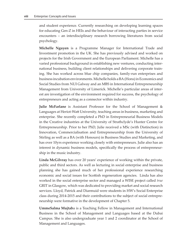and student experience. Currently researching on developing learning spaces for educating Gen-Z in HEIs and the behaviour of interacting parties in service encounters – an interdisciplinary research borrowing literatures from social psychology.

**Michelle Nguyen** is a Programme Manager for International Trade and Investment promotion in the UK. She has previously advised and worked on projects for the Irish Government and the European Parliament. Michelle has a varied professional background in establishing new ventures, conducting international business, building client relationships and delivering corporate training. She has worked across blue chip companies, family-run enterprises and business incubation environments. Michelle holds a BA (Hons) in Economics and Social Studies from NUI Galway and an MBS in International Entrepreneurship Management from University of Limerick. Michelle's particular areas of interest are investigation of the environment required for success, the psychology of entrepreneurs and acting as a connector within industry.

**Julie McFarlane** is Assistant Professor for the School of Management & Languages at Heriot-Watt University, teaching areas in business, marketing and enterprise. She recently completed a PhD in Entrepreneurial Business Models in the Creative industries at the University of Strathclyde's Hunter Centre for Entrepreneurship. Prior to her PhD, Julie received a MSc (with Distinction) in Innovation, Commercialisation and Entrepreneurship from the University of Stirling as well as a BA (with Honours) in Business Studies and Marketing, and has over 10yrs experience working closely with entrepreneurs. Julie also has an interest in dynamic business models, specifically the process of entrepreneurship in the music industry.

**Linda McGilvray** has over 20 years' experience of working within the private, public and third sectors. As well as lecturing in social enterprise and business planning she has gained much of her professional experience researching economic and social issues for Scottish regeneration agencies. Linda has also worked in the social enterprise sector and managed a WISE project called *true* GRIT in Glasgow, which was dedicated to providing market and social research services. Lloyd, Patrick and Diarmuid were students in HW's Social Enterprise class during 2014-2015 and their contributions to the subject of social entrepreneurship were formative in the development of Chapter 5.

**UmmeSalma Mujtab**a is a Teaching Fellow in Management and International Business in the School of Management and Languages based at the Dubai Campus. She is also undergraduate year 1 and 2 coordinator at the School of Management and Languages.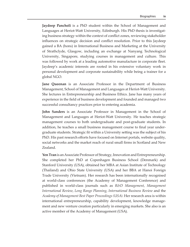**Jaydeep Pancholi** is a PhD student within the School of Management and Languages at Heriot-Watt University, Edinburgh. His PhD thesis is investigating business strategy within the context of conflict zones, reviewing stakeholder influences on strategic decision and conflict resolution. Prior to this Jaydeep gained a BA (hons) in International Business and Marketing at the University of Strathclyde, Glasgow, including an exchange at Nanyang Technological University, Singapore, studying courses in management and culture. This was followed by work at a leading automotive manufacture in corporate fleet. Jaydeep's academic interests are rooted in his extensive voluntary work in personal development and corporate sustainability while being a trainer for a global NGO.

**Jane Queenan** is an Associate Professor in the Department of Business Management, School of Management and Languages at Heriot-Watt University. She lectures in Entrepreneurship and Business Ethics. Jane has many years of experience in the field of business development and founded and managed two successful consultancy practices prior to entering academia.

**John Sanders** is an Associate Professor in Management in the School of Management and Languages at Heriot-Watt University. He teaches strategic management courses to both undergraduate and post-graduate students. In addition, he teaches a small business management course to final year undergraduate students. Strategic fit within a University setting was the subject of his PhD. His past research efforts have focused on Internet portals, website quality, social networks and the market reach of rural small firms in Scotland and New Zealand.

**Yen Tran** is an Associate Professor of Strategy, Innovation and Entrepreneurship. She completed her PhD at Copenhagen Business School (Denmark) and Stanford University (USA), obtained her MBA at Asian Institute of Technology (Thailand) and Ohio State University (USA) and her BBA at Hanoi Foreign Trade University (Vietnam). Her research has been internationally recognised at world-class conferences (the Academy of Management Conference) and published in world-class journals such as *R&D Management*, *Management International Review*, *Long Range Planning*, *International Business Review* and the *Academy of Management Best Paper Proceedings (USA)*. Her research area is within international entrepreneurship, capability development, knowledge management and new venture creation particularly in emerging markets. She also is an active member of the Academy of Management (USA).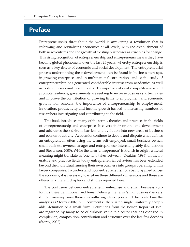### **Preface**

Entrepreneurship throughout the world is awakening a revolution that is reforming and revitalising economies at all levels, with the establishment of both new ventures and the growth of existing businesses as crucibles for change. This rising recognition of entrepreneurship and entrepreneurs means they have become global phenomena over the last 25 years, whereby entrepreneurship is seen as a key driver of economic and social development. The entrepreneurial process underpinning these developments can be found in business start-ups, in growing enterprises and in multinational corporations and so the study of entrepreneurship has generated considerable interest from academics as well as policy makers and practitioners. To improve national competitiveness and promote resilience, governments are seeking to increase business start-up rates and improve the contribution of growing firms to employment and economic growth. For scholars, the importance of entrepreneurship to employment, innovation, productivity and income growth has led to increasing numbers of researchers investigating and contributing to the field.

This book introduces many of the terms, theories and practices in the fields of entrepreneurship and enterprise. It covers their origins and development and addresses their drivers, barriers and evolution into new areas of business and economic activity. Academics continue to debate and dispute what defines an entrepreneur, often using the terms self-employed, small business owner, small business owner/manager and entrepreneur interchangeably (Lundstrom and Stevenson, 2005). While the term 'entrepreneur' is French in origin, a literal meaning might translate as 'one who takes between' (Deakins, 1996). In the literature and practice fields today entrepreneurial behaviour has been extended beyond the individual running their own business into groups operating within larger companies. To understand how entrepreneurship is being applied across the economy, it is necessary to explore these different dimensions and these are offered in different chapters and studies reported here.

The confusion between entrepreneur, enterprise and small business confounds these definitional problems. Defining the term 'small business' is very difficult anyway, since there are conflicting ideas upon which factors to base the analysis as Storey (2002, p. 8) comments: 'there is no single, uniformly acceptable, definition of a small firm'. Definitions from the Bolton Report of 1971 are regarded by many to be of dubious value to a sector that has changed in complexion, composition, contribution and structure over the last few decades (Storey, 2002).